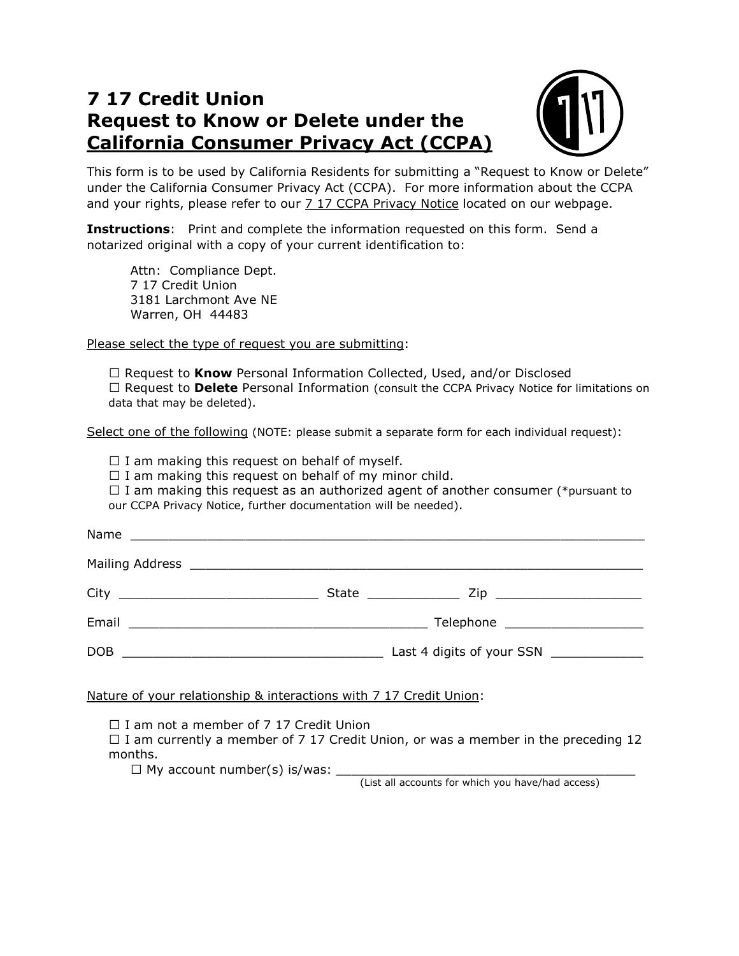## **7 17 Credit Union Request to Know or Delete under the California Consumer Privacy Act (CCPA)**



 This form is to be used by California Residents for submitting a "Request to Know or Delete" under the California Consumer Privacy Act (CCPA). For more information about the CCPA and your rights, please refer to our <u>7 17 CCPA Privacy Notice</u> located on our webpage.

 **Instructions**: Print and complete the information requested on this form. Send a notarized original with a copy of your current identification to:

 7 17 Credit Union 3181 Larchmont Ave NE Warren, OH 44483 Attn: Compliance Dept.

Please select the type of request you are submitting:

□ Request to **Know** Personal Information Collected, Used, and/or Disclosed Request to **Delete** Personal Information (consult the CCPA Privacy Notice for limitations on data that may be deleted).

Select one of the following (NOTE: please submit a separate form for each individual request):

 $\Box$  I am making this request on behalf of myself.

 $\Box$  I am making this request on behalf of my minor child.

 $\Box$  I am making this request as an authorized agent of another consumer (\*pursuant to our CCPA Privacy Notice, further documentation will be needed).

| Name  |                                        |
|-------|----------------------------------------|
|       |                                        |
|       | Zip ________________________           |
| Email | Telephone _______________________      |
| DOB   | Last 4 digits of your SSN ____________ |

Nature of your relationship & interactions with 7 17 Credit Union:

 $\Box$  I am not a member of 7 17 Credit Union

 $\Box$  I am currently a member of 7 17 Credit Union, or was a member in the preceding 12 months.

 $\Box$  My account number(s) is/was:  $\Box$ 

(List all accounts for which you have/had access)